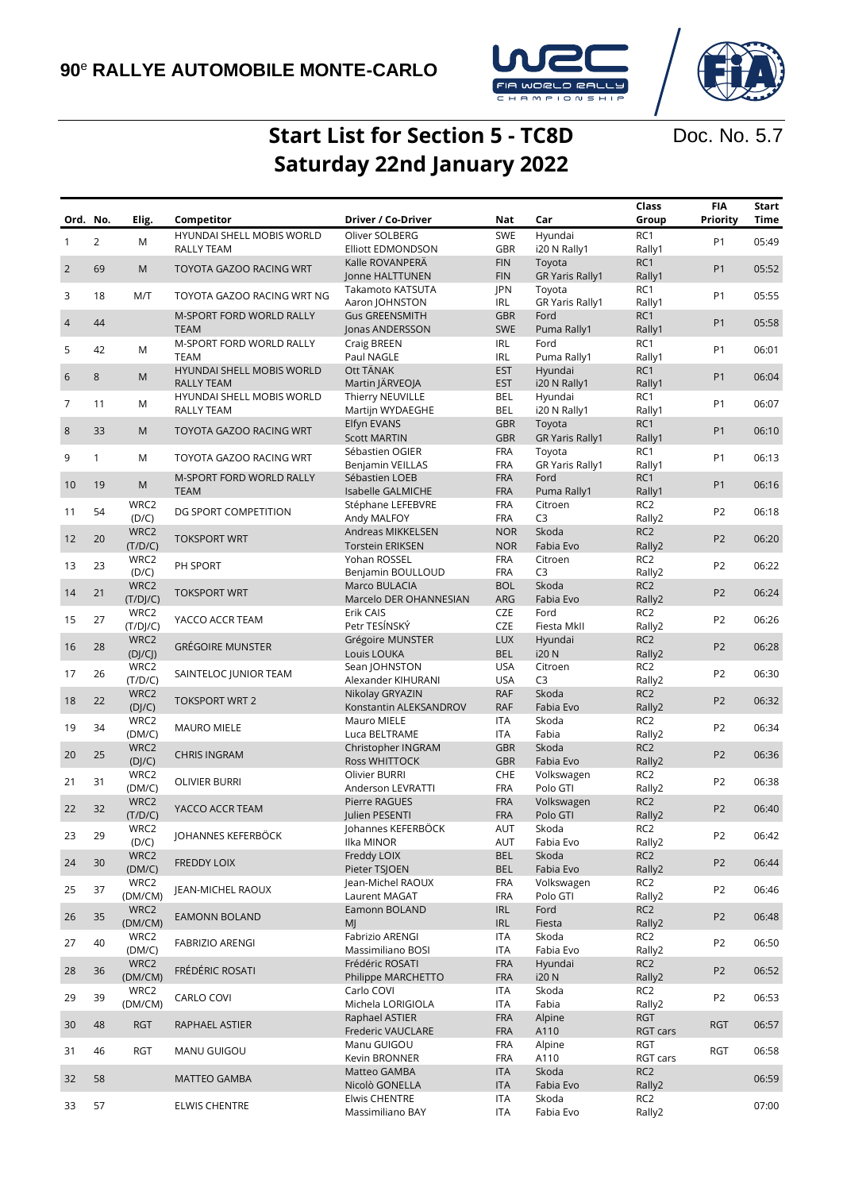

Doc. No. 5.7

## **Start List for Section 5 - TC8D Saturday 22nd January 2022**

| Ord. No.       |                | Elig.            | Competitor                 | Driver / Co-Driver                  | Nat                      | Car                       | Class<br>Group            | <b>FIA</b><br>Priority | <b>Start</b><br><b>Time</b> |
|----------------|----------------|------------------|----------------------------|-------------------------------------|--------------------------|---------------------------|---------------------------|------------------------|-----------------------------|
|                |                |                  | HYUNDAI SHELL MOBIS WORLD  | Oliver SOLBERG                      | SWE                      | Hyundai                   | RC1                       |                        |                             |
| $\mathbf{1}$   | $\overline{2}$ | M                | RALLY TEAM                 | <b>Elliott EDMONDSON</b>            | GBR                      | i20 N Rally1              | Rally1                    | P <sub>1</sub>         | 05:49                       |
| $\overline{2}$ | 69             | M                | TOYOTA GAZOO RACING WRT    | Kalle ROVANPERÄ                     | <b>FIN</b>               | Toyota                    | RC1                       | P <sub>1</sub>         | 05:52                       |
|                |                |                  |                            | Jonne HALTTUNEN                     | <b>FIN</b>               | <b>GR Yaris Rally1</b>    | Rally1                    |                        |                             |
| 3              | 18             | M/T              | TOYOTA GAZOO RACING WRT NG | Takamoto KATSUTA                    | JPN                      | Toyota                    | RC1                       | P <sub>1</sub>         | 05:55                       |
|                |                |                  |                            | Aaron JOHNSTON                      | <b>IRL</b>               | <b>GR Yaris Rally1</b>    | Rally1                    |                        |                             |
| $\overline{4}$ | 44             |                  | M-SPORT FORD WORLD RALLY   | <b>Gus GREENSMITH</b>               | <b>GBR</b>               | Ford                      | RC <sub>1</sub>           | P <sub>1</sub>         | 05:58                       |
|                |                |                  | <b>TEAM</b>                | Jonas ANDERSSON                     | SWE                      | Puma Rally1               | Rally1                    |                        |                             |
| 5              | 42             | M                | M-SPORT FORD WORLD RALLY   | Craig BREEN                         | <b>IRL</b>               | Ford                      | RC1                       | P <sub>1</sub>         | 06:01                       |
|                |                |                  | <b>TEAM</b>                | Paul NAGLE                          | <b>IRL</b>               | Puma Rally1               | Rally1                    |                        |                             |
| 6              | 8              | M                | HYUNDAI SHELL MOBIS WORLD  | Ott TÄNAK                           | <b>EST</b>               | Hyundai                   | RC1                       | P <sub>1</sub>         | 06:04                       |
|                |                |                  | <b>RALLY TEAM</b>          | Martin JÄRVEOJA                     | <b>EST</b>               | i20 N Rally1              | Rally1                    |                        |                             |
| $\overline{7}$ | 11             | M                | HYUNDAI SHELL MOBIS WORLD  | Thierry NEUVILLE                    | <b>BEL</b>               | Hyundai                   | RC1                       | P <sub>1</sub>         | 06:07                       |
|                |                |                  | RALLY TEAM                 | Martijn WYDAEGHE                    | BEL                      | i20 N Rally1              | Rally1                    |                        |                             |
| $\,8\,$        | 33             | M                | TOYOTA GAZOO RACING WRT    | Elfyn EVANS                         | <b>GBR</b>               | Toyota                    | RC <sub>1</sub>           | P <sub>1</sub>         | 06:10                       |
|                |                |                  |                            | <b>Scott MARTIN</b>                 | <b>GBR</b>               | <b>GR Yaris Rally1</b>    | Rally1                    |                        |                             |
| 9              | $\mathbf{1}$   | M                | TOYOTA GAZOO RACING WRT    | Sébastien OGIER                     | <b>FRA</b>               | Toyota                    | RC1                       | P <sub>1</sub>         | 06:13                       |
|                |                |                  |                            | Benjamin VEILLAS                    | <b>FRA</b><br><b>FRA</b> | <b>GR Yaris Rally1</b>    | Rally1<br>RC1             |                        |                             |
| 10             | 19             | M                | M-SPORT FORD WORLD RALLY   | Sébastien LOEB                      |                          | Ford                      |                           | P <sub>1</sub>         | 06:16                       |
|                |                |                  | <b>TEAM</b>                | Isabelle GALMICHE                   | <b>FRA</b>               | Puma Rally1<br>Citroen    | Rally1                    |                        |                             |
| 11             | 54             | WRC2             | DG SPORT COMPETITION       | Stéphane LEFEBVRE                   | <b>FRA</b><br><b>FRA</b> | C <sub>3</sub>            | RC <sub>2</sub>           | P <sub>2</sub>         | 06:18                       |
|                |                | (D/C)            |                            | Andy MALFOY                         |                          |                           | Rally2                    |                        |                             |
| 12             | 20             | WRC2             | <b>TOKSPORT WRT</b>        | Andreas MIKKELSEN                   | <b>NOR</b>               | Skoda                     | RC <sub>2</sub>           | P <sub>2</sub>         | 06:20                       |
|                |                | (T/D/C)          |                            | <b>Torstein ERIKSEN</b>             | <b>NOR</b>               | Fabia Evo                 | Rally2                    |                        |                             |
| 13             | 23             | WRC2             | PH SPORT                   | Yohan ROSSEL                        | <b>FRA</b><br><b>FRA</b> | Citroen<br>C <sub>3</sub> | RC <sub>2</sub>           | P <sub>2</sub>         | 06:22                       |
|                |                | (D/C)            |                            | Benjamin BOULLOUD                   |                          | Skoda                     | Rally2<br>RC <sub>2</sub> |                        |                             |
| 14             | 21             | WRC2             | <b>TOKSPORT WRT</b>        | Marco BULACIA                       | <b>BOL</b><br>ARG        | Fabia Evo                 | Rally2                    | P <sub>2</sub>         | 06:24                       |
|                |                | (T/D]/C)<br>WRC2 |                            | Marcelo DER OHANNESIAN<br>Erik CAIS | <b>CZE</b>               | Ford                      | RC <sub>2</sub>           |                        |                             |
| 15             | 27             | (T/DJ/C)         | YACCO ACCR TEAM            | Petr TESÍNSKÝ                       | <b>CZE</b>               | Fiesta MkII               | Rally2                    | P <sub>2</sub>         | 06:26                       |
|                |                | WRC2             |                            | Grégoire MUNSTER                    | <b>LUX</b>               | Hyundai                   | RC <sub>2</sub>           |                        |                             |
| 16             | 28             | (D]/CJ)          | <b>GRÉGOIRE MUNSTER</b>    | Louis LOUKA                         | <b>BEL</b>               | <b>i20 N</b>              | Rally2                    | P <sub>2</sub>         | 06:28                       |
|                |                | WRC2             |                            | Sean JOHNSTON                       | <b>USA</b>               | Citroen                   | RC <sub>2</sub>           |                        |                             |
| 17             | 26             | (T/D/C)          | SAINTELOC JUNIOR TEAM      | Alexander KIHURANI                  | <b>USA</b>               | C <sub>3</sub>            | Rally2                    | P <sub>2</sub>         | 06:30                       |
|                |                | WRC2             |                            | Nikolay GRYAZIN                     | <b>RAF</b>               | Skoda                     | RC <sub>2</sub>           |                        |                             |
| 18             | 22             | (DJ/C)           | <b>TOKSPORT WRT 2</b>      | Konstantin ALEKSANDROV              | <b>RAF</b>               | Fabia Evo                 | Rally2                    | P <sub>2</sub>         | 06:32                       |
|                |                | WRC2             |                            | Mauro MIELE                         | ITA                      | Skoda                     | RC <sub>2</sub>           |                        |                             |
| 19             | 34             | (DM/C)           | <b>MAURO MIELE</b>         | Luca BELTRAME                       | ITA                      | Fabia                     | Rally2                    | P <sub>2</sub>         | 06:34                       |
|                |                | WRC2             |                            | Christopher INGRAM                  | <b>GBR</b>               | Skoda                     | RC <sub>2</sub>           |                        |                             |
| 20             | 25             | (DJ/C)           | <b>CHRIS INGRAM</b>        | Ross WHITTOCK                       | <b>GBR</b>               | Fabia Evo                 | Rally2                    | P <sub>2</sub>         | 06:36                       |
|                |                | WRC2             |                            | Olivier BURRI                       | CHE                      | Volkswagen                | RC <sub>2</sub>           |                        |                             |
| 21             | 31             | (DM/C)           | <b>OLIVIER BURRI</b>       | Anderson LEVRATTI                   | <b>FRA</b>               | Polo GTI                  | Rally2                    | P <sub>2</sub>         | 06:38                       |
|                |                | WRC2             |                            | Pierre RAGUES                       | <b>FRA</b>               | Volkswagen                | RC <sub>2</sub>           |                        |                             |
| 22             | 32             | (T/D/C)          | YACCO ACCR TEAM            | Julien PESENTI                      | <b>FRA</b>               | Polo GTI                  | Rally2                    | P <sub>2</sub>         | 06:40                       |
|                |                | WRC2             |                            | Johannes KEFERBÖCK                  | <b>AUT</b>               | Skoda                     | RC <sub>2</sub>           |                        |                             |
| 23             | 29             | (D/C)            | JOHANNES KEFERBÖCK         | Ilka MINOR                          | <b>AUT</b>               | Fabia Evo                 | Rally2                    | P <sub>2</sub>         | 06:42                       |
|                |                | WRC2             | <b>FREDDY LOIX</b>         | Freddy LOIX                         | <b>BEL</b>               | Skoda                     | RC <sub>2</sub>           | P <sub>2</sub>         |                             |
| 24             | 30             | (DM/C)           |                            | Pieter TSJOEN                       | <b>BEL</b>               | Fabia Evo                 | Rally2                    |                        | 06:44                       |
|                | 37             | WRC2             | JEAN-MICHEL RAOUX          | Jean-Michel RAOUX                   | <b>FRA</b>               | Volkswagen                | RC2                       | P <sub>2</sub>         | 06:46                       |
| 25             |                | (DM/CM)          |                            | Laurent MAGAT                       | <b>FRA</b>               | Polo GTI                  | Rally2                    |                        |                             |
| 26             | 35             | WRC2             | <b>EAMONN BOLAND</b>       | Eamonn BOLAND                       | <b>IRL</b>               | Ford                      | RC <sub>2</sub>           | P <sub>2</sub>         | 06:48                       |
|                |                | (DM/CM)          |                            | MJ                                  | IRL                      | Fiesta                    | Rally2                    |                        |                             |
| 27             | 40             | WRC2             | FABRIZIO ARENGI            | Fabrizio ARENGI                     | <b>ITA</b>               | Skoda                     | RC <sub>2</sub>           | P <sub>2</sub>         | 06:50                       |
|                |                | (DM/C)           |                            | Massimiliano BOSI                   | <b>ITA</b>               | Fabia Evo                 | Rally2                    |                        |                             |
| 28             | 36             | WRC2             | FRÉDÉRIC ROSATI            | Frédéric ROSATI                     | <b>FRA</b>               | Hyundai                   | RC <sub>2</sub>           | P <sub>2</sub>         | 06:52                       |
|                |                | (DM/CM)          |                            | Philippe MARCHETTO                  | <b>FRA</b>               | i20 N                     | Rally2                    |                        |                             |
| 29             | 39             | WRC2             | CARLO COVI                 | Carlo COVI                          | <b>ITA</b>               | Skoda                     | RC2                       | P <sub>2</sub>         | 06:53                       |
|                |                | (DM/CM)          |                            | Michela LORIGIOLA                   | <b>ITA</b>               | Fabia                     | Rally2                    |                        |                             |
| 30             | 48             | <b>RGT</b>       | RAPHAEL ASTIER             | Raphael ASTIER                      | <b>FRA</b>               | Alpine                    | <b>RGT</b>                | <b>RGT</b>             | 06:57                       |
|                |                |                  |                            | Frederic VAUCLARE                   | <b>FRA</b>               | A110                      | RGT cars                  |                        |                             |
| 31             | 46             | RGT              | MANU GUIGOU                | Manu GUIGOU                         | <b>FRA</b>               | Alpine                    | RGT                       | RGT                    | 06:58                       |
|                |                |                  |                            | Kevin BRONNER                       | <b>FRA</b>               | A110                      | RGT cars                  |                        |                             |
| 32             | 58             |                  | <b>MATTEO GAMBA</b>        | Matteo GAMBA                        | <b>ITA</b>               | Skoda                     | RC <sub>2</sub>           |                        | 06:59                       |
|                |                |                  |                            | Nicolò GONELLA                      | <b>ITA</b>               | Fabia Evo                 | Rally2                    |                        |                             |
| 33             | 57             |                  | <b>ELWIS CHENTRE</b>       | <b>Elwis CHENTRE</b>                | <b>ITA</b>               | Skoda                     | RC <sub>2</sub>           |                        | 07:00                       |
|                |                |                  |                            | Massimiliano BAY                    | ITA                      | Fabia Evo                 | Rally2                    |                        |                             |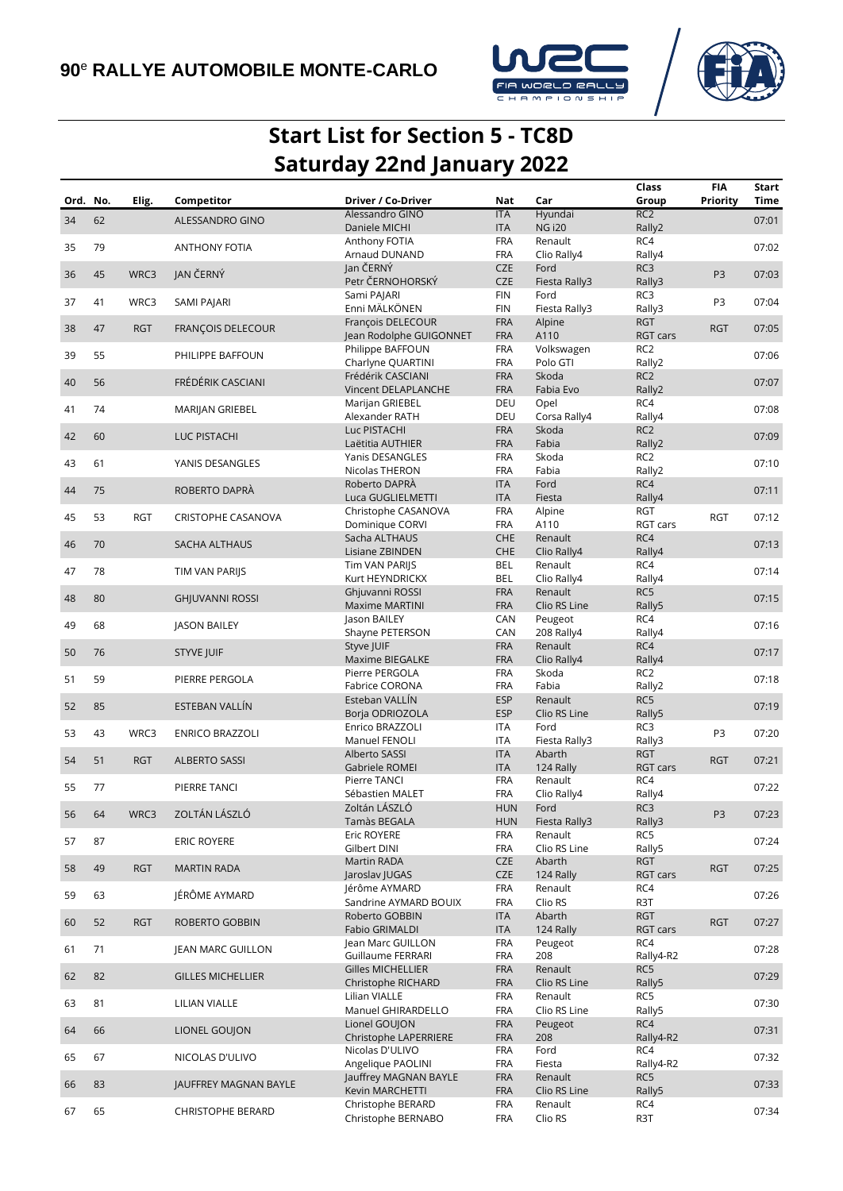



## **Start List for Section 5 - TC8D Saturday 22nd January 2022**

|          |    |            |                          |                            |            |               | Class           | FIA            | Start |
|----------|----|------------|--------------------------|----------------------------|------------|---------------|-----------------|----------------|-------|
| Ord. No. |    | Elig.      | Competitor               | Driver / Co-Driver         | Nat        | Car           | Group           | Priority       | Time  |
|          |    |            |                          | Alessandro GINO            | <b>ITA</b> | Hyundai       | RC <sub>2</sub> |                |       |
| 34       | 62 |            | ALESSANDRO GINO          | Daniele MICHI              | <b>ITA</b> | <b>NG i20</b> | Rally2          |                | 07:01 |
|          |    |            |                          | Anthony FOTIA              | <b>FRA</b> | Renault       | RC4             |                |       |
| 35       | 79 |            | <b>ANTHONY FOTIA</b>     | Arnaud DUNAND              | <b>FRA</b> | Clio Rally4   | Rally4          |                | 07:02 |
|          |    |            |                          | Jan ČERNÝ                  | <b>CZE</b> | Ford          | RC3             |                |       |
| 36       | 45 | WRC3       | JAN ČERNÝ                | Petr ČERNOHORSKÝ           |            |               |                 | P <sub>3</sub> | 07:03 |
|          |    |            |                          |                            | <b>CZE</b> | Fiesta Rally3 | Rally3          |                |       |
| 37       | 41 | WRC3       | SAMI PAJARI              | Sami PAJARI                | <b>FIN</b> | Ford          | RC3             | P3             | 07:04 |
|          |    |            |                          | Enni MÄLKÖNEN              | <b>FIN</b> | Fiesta Rally3 | Rally3          |                |       |
| 38       | 47 | <b>RGT</b> | FRANÇOIS DELECOUR        | François DELECOUR          | <b>FRA</b> | Alpine        | <b>RGT</b>      | <b>RGT</b>     | 07:05 |
|          |    |            |                          | Jean Rodolphe GUIGONNET    | <b>FRA</b> | A110          | RGT cars        |                |       |
|          |    |            |                          | Philippe BAFFOUN           | <b>FRA</b> | Volkswagen    | RC <sub>2</sub> |                |       |
| 39       | 55 |            | PHILIPPE BAFFOUN         | Charlyne QUARTINI          | <b>FRA</b> | Polo GTI      | Rally2          |                | 07:06 |
|          |    |            |                          | Frédérik CASCIANI          | <b>FRA</b> | Skoda         | RC <sub>2</sub> |                |       |
| 40       | 56 |            | FRÉDÉRIK CASCIANI        | <b>Vincent DELAPLANCHE</b> | <b>FRA</b> | Fabia Evo     | Rally2          |                | 07:07 |
|          |    |            |                          | Marijan GRIEBEL            | DEU        | Opel          | RC4             |                |       |
| 41       | 74 |            | MARIJAN GRIEBEL          | Alexander RATH             | DEU        | Corsa Rally4  |                 |                | 07:08 |
|          |    |            |                          |                            |            |               | Rally4          |                |       |
| 42       | 60 |            | LUC PISTACHI             | Luc PISTACHI               | <b>FRA</b> | Skoda         | RC <sub>2</sub> |                | 07:09 |
|          |    |            |                          | Laëtitia AUTHIER           | <b>FRA</b> | Fabia         | Rally2          |                |       |
| 43       | 61 |            | YANIS DESANGLES          | Yanis DESANGLES            | <b>FRA</b> | Skoda         | RC <sub>2</sub> |                | 07:10 |
|          |    |            |                          | Nicolas THERON             | <b>FRA</b> | Fabia         | Rally2          |                |       |
|          |    |            |                          | Roberto DAPRÀ              | <b>ITA</b> | Ford          | RC4             |                |       |
| 44       | 75 |            | ROBERTO DAPRÀ            | Luca GUGLIELMETTI          | <b>ITA</b> | Fiesta        | Rally4          |                | 07:11 |
|          |    |            |                          | Christophe CASANOVA        | <b>FRA</b> | Alpine        | <b>RGT</b>      |                |       |
| 45       | 53 | <b>RGT</b> | CRISTOPHE CASANOVA       | Dominique CORVI            | <b>FRA</b> | A110          | RGT cars        | <b>RGT</b>     | 07:12 |
|          |    |            |                          |                            | <b>CHE</b> |               | RC4             |                |       |
| 46       | 70 |            | SACHA ALTHAUS            | Sacha ALTHAUS              |            | Renault       |                 |                | 07:13 |
|          |    |            |                          | Lisiane ZBINDEN            | CHE        | Clio Rally4   | Rally4          |                |       |
| 47       | 78 |            | TIM VAN PARIJS           | Tim VAN PARIJS             | <b>BEL</b> | Renault       | RC4             |                | 07:14 |
|          |    |            |                          | Kurt HEYNDRICKX            | <b>BEL</b> | Clio Rally4   | Rally4          |                |       |
|          |    |            |                          | Ghjuvanni ROSSI            | <b>FRA</b> | Renault       | RC5             |                |       |
| 48       | 80 |            | <b>GHJUVANNI ROSSI</b>   | <b>Maxime MARTINI</b>      | <b>FRA</b> | Clio RS Line  | Rally5          |                | 07:15 |
|          |    |            |                          | Jason BAILEY               | CAN        | Peugeot       | RC4             |                |       |
| 49       | 68 |            | <b>JASON BAILEY</b>      | Shayne PETERSON            | CAN        | 208 Rally4    | Rally4          |                | 07:16 |
|          |    |            |                          | Styve JUIF                 | <b>FRA</b> | Renault       | RC4             |                |       |
| 50       | 76 |            | <b>STYVE JUIF</b>        | Maxime BIEGALKE            | <b>FRA</b> | Clio Rally4   | Rally4          |                | 07:17 |
|          |    |            |                          |                            |            |               |                 |                |       |
| 51       | 59 |            | PIERRE PERGOLA           | Pierre PERGOLA             | <b>FRA</b> | Skoda         | RC <sub>2</sub> |                | 07:18 |
|          |    |            |                          | Fabrice CORONA             | <b>FRA</b> | Fabia         | Rally2          |                |       |
| 52       | 85 |            | ESTEBAN VALLÍN           | Esteban VALLÍN             | <b>ESP</b> | Renault       | RC5             |                | 07:19 |
|          |    |            |                          | Borja ODRIOZOLA            | <b>ESP</b> | Clio RS Line  | Rally5          |                |       |
|          |    |            |                          | Enrico BRAZZOLI            | <b>ITA</b> | Ford          | RC3             |                |       |
| 53       | 43 | WRC3       | <b>ENRICO BRAZZOLI</b>   | Manuel FENOLI              | <b>ITA</b> | Fiesta Rally3 | Rally3          | P3             | 07:20 |
|          |    |            |                          | Alberto SASSI              | <b>ITA</b> | Abarth        | <b>RGT</b>      |                |       |
| 54       | 51 | <b>RGT</b> | <b>ALBERTO SASSI</b>     | Gabriele ROMEI             | <b>ITA</b> | 124 Rally     | RGT cars        | <b>RGT</b>     | 07:21 |
|          |    |            |                          | Pierre TANCI               | <b>FRA</b> | Renault       | RC4             |                |       |
| 55       | 77 |            | PIERRE TANCI             | Sébastien MALET            | <b>FRA</b> | Clio Rally4   | Rally4          |                | 07:22 |
|          |    |            |                          |                            |            |               |                 |                |       |
| 56       | 64 | WRC3       | ZOLTÁN LÁSZLÓ            | Zoltán LÁSZLÓ              | <b>HUN</b> | Ford          | RC3             | P <sub>3</sub> | 07:23 |
|          |    |            |                          | Tamàs BEGALA               | <b>HUN</b> | Fiesta Rally3 | Rally3          |                |       |
| 57       | 87 |            | <b>ERIC ROYERE</b>       | Eric ROYERE                | <b>FRA</b> | Renault       | RC5             |                | 07:24 |
|          |    |            |                          | Gilbert DINI               | <b>FRA</b> | Clio RS Line  | Rally5          |                |       |
| 58       | 49 | <b>RGT</b> | <b>MARTIN RADA</b>       | Martin RADA                | <b>CZE</b> | Abarth        | <b>RGT</b>      | <b>RGT</b>     | 07:25 |
|          |    |            |                          | Jaroslav JUGAS             | <b>CZE</b> | 124 Rally     | RGT cars        |                |       |
|          |    |            |                          | Jérôme AYMARD              | <b>FRA</b> | Renault       | RC4             |                |       |
| 59       | 63 |            | JÉRÔME AYMARD            | Sandrine AYMARD BOUIX      | <b>FRA</b> | Clio RS       | R3T             |                | 07:26 |
|          |    |            |                          | Roberto GOBBIN             | <b>ITA</b> | Abarth        | <b>RGT</b>      |                |       |
| 60       | 52 | <b>RGT</b> | ROBERTO GOBBIN           | Fabio GRIMALDI             | <b>ITA</b> | 124 Rally     | RGT cars        | <b>RGT</b>     | 07:27 |
|          |    |            |                          |                            |            |               |                 |                |       |
| 61       | 71 |            | JEAN MARC GUILLON        | Jean Marc GUILLON          | <b>FRA</b> | Peugeot       | RC4             |                | 07:28 |
|          |    |            |                          | Guillaume FERRARI          | <b>FRA</b> | 208           | Rally4-R2       |                |       |
| 62       | 82 |            | <b>GILLES MICHELLIER</b> | <b>Gilles MICHELLIER</b>   | <b>FRA</b> | Renault       | RC5             |                | 07:29 |
|          |    |            |                          | Christophe RICHARD         | <b>FRA</b> | Clio RS Line  | Rally5          |                |       |
|          |    |            |                          | Lilian VIALLE              | <b>FRA</b> | Renault       | RC5             |                |       |
| 63       | 81 |            | LILIAN VIALLE            | Manuel GHIRARDELLO         | <b>FRA</b> | Clio RS Line  | Rally5          |                | 07:30 |
|          |    |            |                          | Lionel GOUJON              | <b>FRA</b> | Peugeot       | RC4             |                |       |
| 64       | 66 |            | LIONEL GOUJON            | Christophe LAPERRIERE      | <b>FRA</b> | 208           | Rally4-R2       |                | 07:31 |
|          |    |            |                          | Nicolas D'ULIVO            | <b>FRA</b> | Ford          | RC4             |                |       |
| 65       | 67 |            | NICOLAS D'ULIVO          |                            |            |               |                 |                | 07:32 |
|          |    |            |                          | Angelique PAOLINI          | <b>FRA</b> | Fiesta        | Rally4-R2       |                |       |
| 66       | 83 |            | JAUFFREY MAGNAN BAYLE    | Jauffrey MAGNAN BAYLE      | <b>FRA</b> | Renault       | RC5             |                | 07:33 |
|          |    |            |                          | Kevin MARCHETTI            | <b>FRA</b> | Clio RS Line  | Rally5          |                |       |
| 67       | 65 |            | <b>CHRISTOPHE BERARD</b> | Christophe BERARD          | <b>FRA</b> | Renault       | RC4             |                | 07:34 |
|          |    |            |                          | Christophe BERNABO         | <b>FRA</b> | Clio RS       | R3T             |                |       |